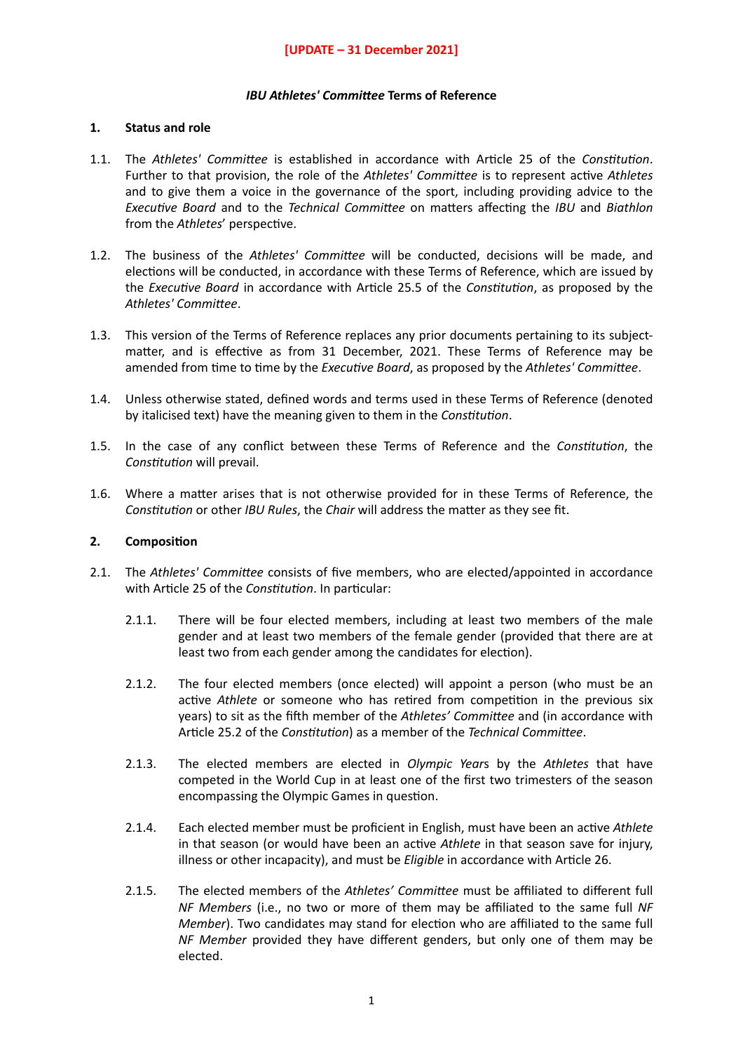#### *IBU* Athletes' Committee Terms of Reference

#### **1. Status and role**

- 1.1. The *Athletes' Committee* is established in accordance with Article 25 of the *Constitution*. Further to that provision, the role of the *Athletes' Committee* is to represent active Athletes and to give them a voice in the governance of the sport, including providing advice to the *Executive Board* and to the *Technical Committee* on matters affecting the *IBU* and *Biathlon* from the *Athletes'* perspective.
- 1.2. The business of the *Athletes' Committee* will be conducted, decisions will be made, and elections will be conducted, in accordance with these Terms of Reference, which are issued by the *Executive Board* in accordance with Article 25.5 of the *Constitution*, as proposed by the Athletes' Committee.
- 1.3. This version of the Terms of Reference replaces any prior documents pertaining to its subjectmatter, and is effective as from 31 December, 2021. These Terms of Reference may be amended from time to time by the *Executive Board*, as proposed by the *Athletes' Committee*.
- 1.4. Unless otherwise stated, defined words and terms used in these Terms of Reference (denoted by italicised text) have the meaning given to them in the *Constitution*.
- 1.5. In the case of any conflict between these Terms of Reference and the *Constitution*, the *Constitution* will prevail.
- 1.6. Where a matter arises that is not otherwise provided for in these Terms of Reference, the *Constitution* or other *IBU Rules*, the *Chair* will address the matter as they see fit.

#### **2. Composition**

- 2.1. The Athletes' Committee consists of five members, who are elected/appointed in accordance with Article 25 of the *Constitution*. In particular:
	- 2.1.1. There will be four elected members, including at least two members of the male gender and at least two members of the female gender (provided that there are at least two from each gender among the candidates for election).
	- 2.1.2. The four elected members (once elected) will appoint a person (who must be an active *Athlete* or someone who has retired from competition in the previous six years) to sit as the fifth member of the Athletes' Committee and (in accordance with Article 25.2 of the *Constitution*) as a member of the *Technical Committee*.
	- 2.1.3. The elected members are elected in *Olympic Year*s by the *Athletes* that have competed in the World Cup in at least one of the first two trimesters of the season encompassing the Olympic Games in question.
	- 2.1.4. Each elected member must be proficient in English, must have been an active *Athlete* in that season (or would have been an active *Athlete* in that season save for injury, illness or other incapacity), and must be *Eligible* in accordance with Article 26.
	- 2.1.5. The elected members of the Athletes' Committee must be affiliated to different full *NF Members* (i.e., no two or more of them may be affiliated to the same full *NF Member*). Two candidates may stand for election who are affiliated to the same full *NF Member* provided they have different genders, but only one of them may be elected.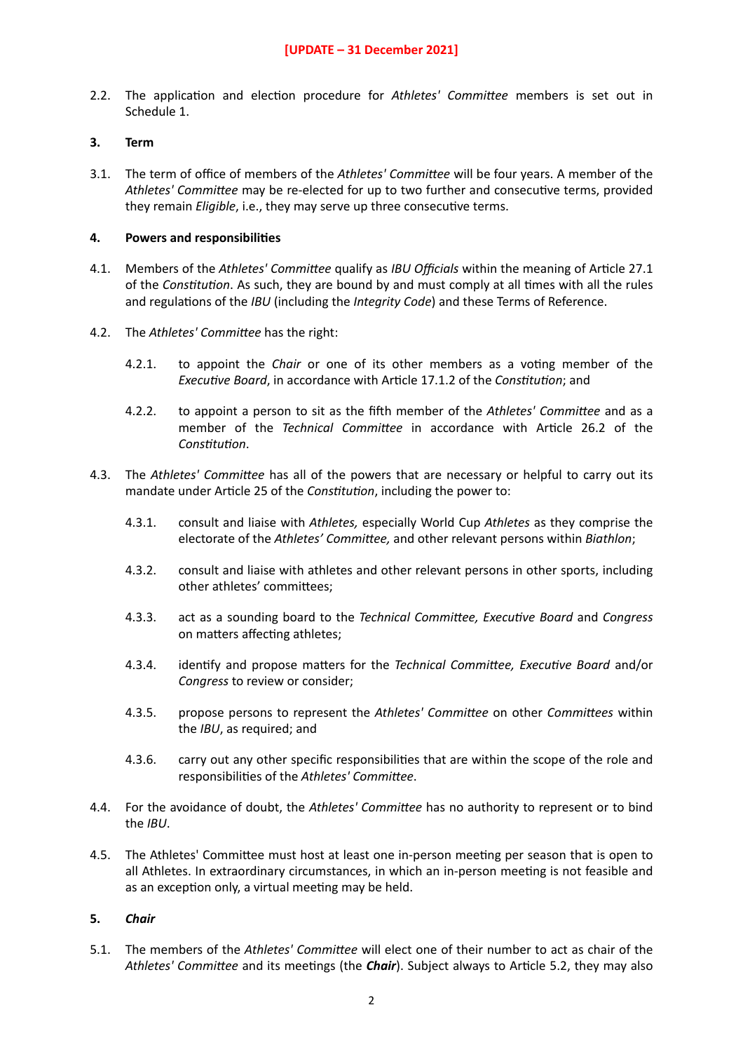2.2. The application and election procedure for *Athletes' Committee* members is set out in Schedule 1.

## **3. Term**

3.1. The term of office of members of the *Athletes' Committee* will be four years. A member of the Athletes' Committee may be re-elected for up to two further and consecutive terms, provided they remain *Eligible*, i.e., they may serve up three consecutive terms.

### **4.** Powers and responsibilities

- 4.1. Members of the *Athletes' Committee* qualify as *IBU Officials* within the meaning of Article 27.1 of the *Constitution*. As such, they are bound by and must comply at all times with all the rules and regulations of the *IBU* (including the *Integrity Code*) and these Terms of Reference.
- 4.2. The *Athletes' Committee* has the right:
	- 4.2.1. to appoint the *Chair* or one of its other members as a voting member of the *Executive Board*, in accordance with Article 17.1.2 of the *Constitution*; and
	- 4.2.2. to appoint a person to sit as the fifth member of the Athletes' Committee and as a member of the *Technical Committee* in accordance with Article 26.2 of the *Constitution.*
- 4.3. The *Athletes' Committee* has all of the powers that are necessary or helpful to carry out its mandate under Article 25 of the *Constitution*, including the power to:
	- 4.3.1. consult and liaise with *Athletes,* especially World Cup *Athletes* as they comprise the electorate of the Athletes' Committee, and other relevant persons within *Biathlon*;
	- 4.3.2. consult and liaise with athletes and other relevant persons in other sports, including other athletes' committees;
	- 4.3.3. act as a sounding board to the *Technical Committee, Executive Board* and *Congress* on matters affecting athletes;
	- 4.3.4. identify and propose matters for the *Technical Committee, Executive Board* and/or *Congress* to review or consider;
	- 4.3.5. propose persons to represent the Athletes' Committee on other *Committees* within the *IBU*, as required; and
	- 4.3.6. carry out any other specific responsibilities that are within the scope of the role and responsibilities of the Athletes' Committee.
- 4.4. For the avoidance of doubt, the Athletes' Committee has no authority to represent or to bind the *IBU*.
- 4.5. The Athletes' Committee must host at least one in-person meeting per season that is open to all Athletes. In extraordinary circumstances, in which an in-person meeting is not feasible and as an exception only, a virtual meeting may be held.

# **5.** *Chair*

5.1. The members of the *Athletes' Committee* will elect one of their number to act as chair of the Athletes' Committee and its meetings (the *Chair*). Subject always to Article 5.2, they may also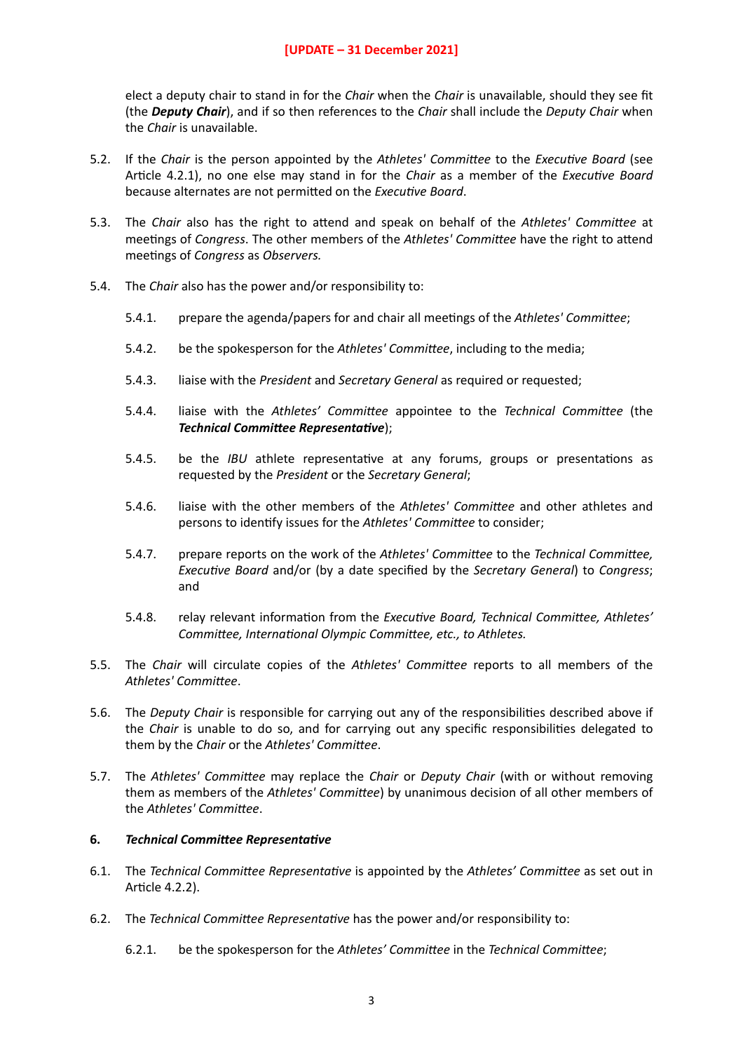elect a deputy chair to stand in for the *Chair* when the *Chair* is unavailable, should they see fit (the *Deputy Chair*), and if so then references to the *Chair* shall include the *Deputy Chair* when the *Chair* is unavailable.

- 5.2. If the *Chair* is the person appointed by the *Athletes' Committee* to the *Executive Board* (see Article 4.2.1), no one else may stand in for the *Chair* as a member of the *Executive Board* because alternates are not permitted on the *Executive Board*.
- 5.3. The *Chair* also has the right to attend and speak on behalf of the *Athletes' Committee* at meetings of *Congress*. The other members of the *Athletes' Committee* have the right to attend meetings of *Congress* as *Observers*.
- 5.4. The *Chair* also has the power and/or responsibility to:
	- 5.4.1. prepare the agenda/papers for and chair all meetings of the Athletes' Committee;
	- 5.4.2. be the spokesperson for the Athletes' Committee, including to the media;
	- 5.4.3. liaise with the *President* and *Secretary General* as required or requested;
	- 5.4.4. liaise with the Athletes' Committee appointee to the *Technical Committee* (the *Technical Committee Representative*);
	- 5.4.5. be the *IBU* athlete representative at any forums, groups or presentations as requested by the *President* or the *Secretary General*;
	- 5.4.6. liaise with the other members of the *Athletes' Committee* and other athletes and persons to identify issues for the *Athletes' Committee* to consider;
	- 5.4.7. prepare reports on the work of the *Athletes' Committee* to the *Technical Committee*, *Executive Board* and/or (by a date specified by the *Secretary General*) to *Congress*; and
	- 5.4.8. relay relevant information from the *Executive Board, Technical Committee, Athletes' Committee, International Olympic Committee, etc., to Athletes.*
- 5.5. The *Chair* will circulate copies of the *Athletes' Committee* reports to all members of the Athletes' Committee.
- 5.6. The *Deputy Chair* is responsible for carrying out any of the responsibilities described above if the *Chair* is unable to do so, and for carrying out any specific responsibilities delegated to them by the *Chair* or the *Athletes' Committee*.
- 5.7. The *Athletes' Committee* may replace the *Chair* or *Deputy Chair* (with or without removing them as members of the *Athletes' Committee*) by unanimous decision of all other members of the *Athletes' Committee*.

#### **6.** *Technical Committee Representative*

- 6.1. The *Technical Committee Representative* is appointed by the *Athletes' Committee* as set out in Article 4.2.2).
- 6.2. The *Technical Committee Representative* has the power and/or responsibility to:
	- 6.2.1. be the spokesperson for the *Athletes' Committee* in the *Technical Committee*;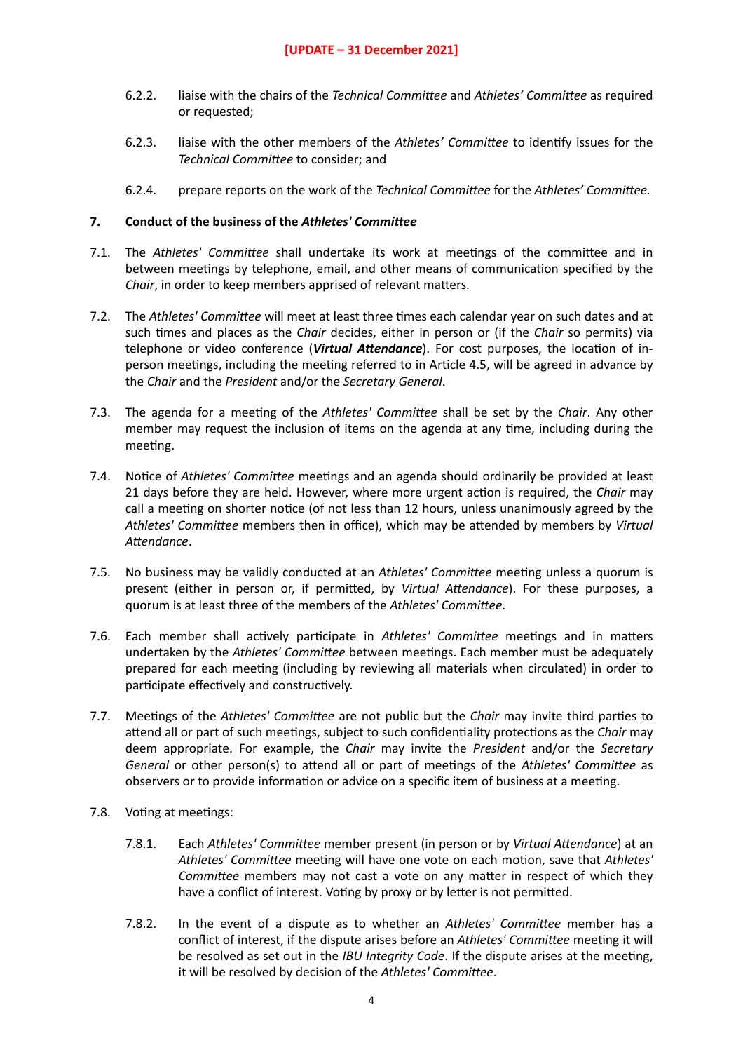- 6.2.2. liaise with the chairs of the *Technical Committee* and *Athletes' Committee* as required or requested;
- 6.2.3. liaise with the other members of the Athletes' Committee to identify issues for the *Technical Committee* to consider; and
- 6.2.4. prepare reports on the work of the *Technical Committee* for the *Athletes' Committee.*

## **7. Conduct of the business of the Athletes' Committee**

- 7.1. The Athletes' Committee shall undertake its work at meetings of the committee and in between meetings by telephone, email, and other means of communication specified by the *Chair*, in order to keep members apprised of relevant matters.
- 7.2. The *Athletes' Committee* will meet at least three times each calendar year on such dates and at such 4mes and places as the *Chair* decides, either in person or (if the *Chair* so permits) via telephone or video conference (*Virtual Attendance*). For cost purposes, the location of inperson meetings, including the meeting referred to in Article 4.5, will be agreed in advance by the *Chair* and the *President* and/or the *Secretary General*.
- 7.3. The agenda for a meeting of the *Athletes' Committee* shall be set by the *Chair*. Any other member may request the inclusion of items on the agenda at any time, including during the meeting.
- 7.4. Notice of *Athletes' Committee* meetings and an agenda should ordinarily be provided at least 21 days before they are held. However, where more urgent action is required, the *Chair* may call a meeting on shorter notice (of not less than 12 hours, unless unanimously agreed by the *Athletes' Committee* members then in office), which may be attended by members by *Virtual* Attendance.
- 7.5. No business may be validly conducted at an *Athletes' Committee* meeting unless a quorum is present (either in person or, if permitted, by *Virtual Attendance*). For these purposes, a quorum is at least three of the members of the *Athletes' Committee*.
- 7.6. Each member shall actively participate in Athletes' Committee meetings and in matters undertaken by the Athletes' Committee between meetings. Each member must be adequately prepared for each meeting (including by reviewing all materials when circulated) in order to participate effectively and constructively.
- 7.7. Meetings of the *Athletes' Committee* are not public but the *Chair* may invite third parties to attend all or part of such meetings, subject to such confidentiality protections as the *Chair* may deem appropriate. For example, the *Chair* may invite the *President* and/or the *Secretary General* or other person(s) to attend all or part of meetings of the *Athletes' Committee* as observers or to provide information or advice on a specific item of business at a meeting.
- 7.8. Voting at meetings:
	- 7.8.1. Each *Athletes' Committee* member present (in person or by *Virtual Attendance*) at an Athletes' Committee meeting will have one vote on each motion, save that Athletes' *Committee* members may not cast a vote on any matter in respect of which they have a conflict of interest. Voting by proxy or by letter is not permitted.
	- 7.8.2. In the event of a dispute as to whether an *Athletes' Committee* member has a conflict of interest, if the dispute arises before an *Athletes' Committee* meeting it will be resolved as set out in the *IBU Integrity Code*. If the dispute arises at the meeting, it will be resolved by decision of the Athletes' Committee.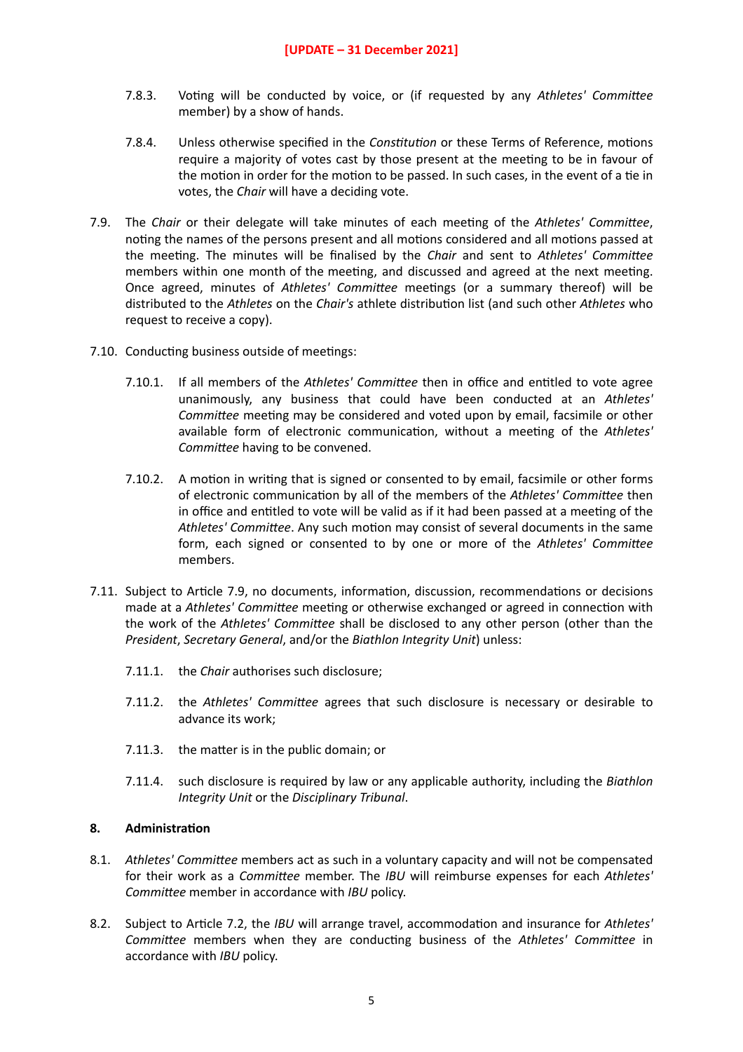- 7.8.3. Voting will be conducted by voice, or (if requested by any Athletes' Committee member) by a show of hands.
- 7.8.4. Unless otherwise specified in the *Constitution* or these Terms of Reference, motions require a majority of votes cast by those present at the meeting to be in favour of the motion in order for the motion to be passed. In such cases, in the event of a tie in votes, the *Chair* will have a deciding vote.
- 7.9. The *Chair* or their delegate will take minutes of each meeting of the *Athletes' Committee*, noting the names of the persons present and all motions considered and all motions passed at the meeting. The minutes will be finalised by the *Chair* and sent to *Athletes' Committee* members within one month of the meeting, and discussed and agreed at the next meeting. Once agreed, minutes of Athletes' Committee meetings (or a summary thereof) will be distributed to the *Athletes* on the *Chair's* athlete distribution list (and such other *Athletes* who request to receive a copy).
- 7.10. Conducting business outside of meetings:
	- 7.10.1. If all members of the *Athletes' Committee* then in office and entitled to vote agree unanimously, any business that could have been conducted at an *Athletes' Committee* meeting may be considered and voted upon by email, facsimile or other available form of electronic communication, without a meeting of the Athletes' *Committee* having to be convened.
	- 7.10.2. A motion in writing that is signed or consented to by email, facsimile or other forms of electronic communication by all of the members of the *Athletes' Committee* then in office and entitled to vote will be valid as if it had been passed at a meeting of the Athletes' Committee. Any such motion may consist of several documents in the same form, each signed or consented to by one or more of the *Athletes' Committee* members.
- 7.11. Subject to Article 7.9, no documents, information, discussion, recommendations or decisions made at a Athletes' Committee meeting or otherwise exchanged or agreed in connection with the work of the *Athletes' Committee* shall be disclosed to any other person (other than the *President*, *Secretary General*, and/or the *Biathlon Integrity Unit*) unless:
	- 7.11.1. the *Chair* authorises such disclosure;
	- 7.11.2. the *Athletes' Committee* agrees that such disclosure is necessary or desirable to advance its work;
	- $7.11.3.$  the matter is in the public domain; or
	- 7.11.4. such disclosure is required by law or any applicable authority, including the *Biathlon Integrity Unit* or the *Disciplinary Tribunal*.

# **8. Administration**

- 8.1. Athletes' Committee members act as such in a voluntary capacity and will not be compensated for their work as a *Committee* member. The *IBU* will reimburse expenses for each *Athletes' Committee* member in accordance with *IBU* policy.
- 8.2. Subject to Article 7.2, the *IBU* will arrange travel, accommodation and insurance for Athletes' *Committee* members when they are conducting business of the *Athletes' Committee* in accordance with *IBU* policy.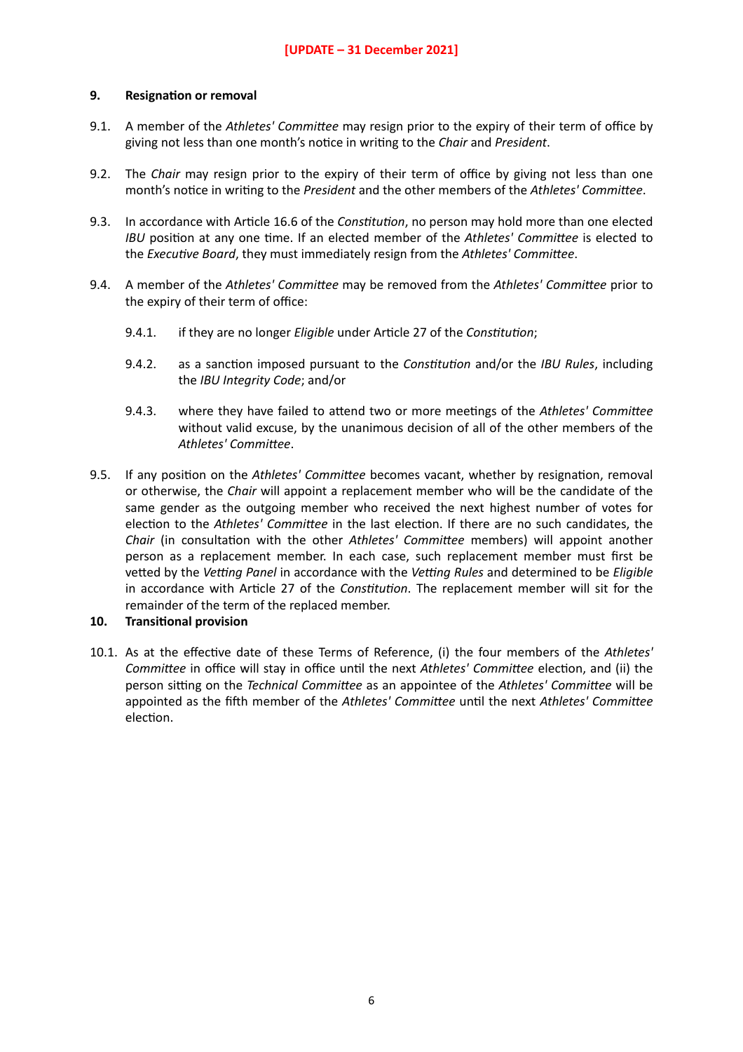#### **9.** Resignation or removal

- 9.1. A member of the Athletes' Committee may resign prior to the expiry of their term of office by giving not less than one month's notice in writing to the *Chair* and *President*.
- 9.2. The *Chair* may resign prior to the expiry of their term of office by giving not less than one month's notice in writing to the *President* and the other members of the *Athletes' Committee*.
- 9.3. In accordance with Article 16.6 of the *Constitution*, no person may hold more than one elected *IBU* position at any one time. If an elected member of the *Athletes' Committee* is elected to the *Executive Board*, they must immediately resign from the *Athletes' Committee*.
- 9.4. A member of the Athletes' Committee may be removed from the Athletes' Committee prior to the expiry of their term of office:
	- 9.4.1. if they are no longer *Eligible* under Article 27 of the *Constitution*;
	- 9.4.2. as a sanction imposed pursuant to the *Constitution* and/or the *IBU Rules*, including the *IBU Integrity Code*; and/or
	- 9.4.3. where they have failed to attend two or more meetings of the Athletes' Committee without valid excuse, by the unanimous decision of all of the other members of the Athletes' Committee.
- 9.5. If any position on the *Athletes' Committee* becomes vacant, whether by resignation, removal or otherwise, the *Chair* will appoint a replacement member who will be the candidate of the same gender as the outgoing member who received the next highest number of votes for election to the Athletes' Committee in the last election. If there are no such candidates, the *Chair* (in consultation with the other *Athletes' Committee* members) will appoint another person as a replacement member. In each case, such replacement member must first be vetted by the *Vetting Panel* in accordance with the *Vetting Rules* and determined to be *Eligible* in accordance with Article 27 of the *Constitution*. The replacement member will sit for the remainder of the term of the replaced member.

#### **10.** Transitional provision

10.1. As at the effective date of these Terms of Reference. (i) the four members of the *Athletes' Committee* in office will stay in office until the next *Athletes' Committee* election, and (ii) the person sitting on the *Technical Committee* as an appointee of the *Athletes' Committee* will be appointed as the fifth member of the *Athletes' Committee* until the next *Athletes' Committee* election.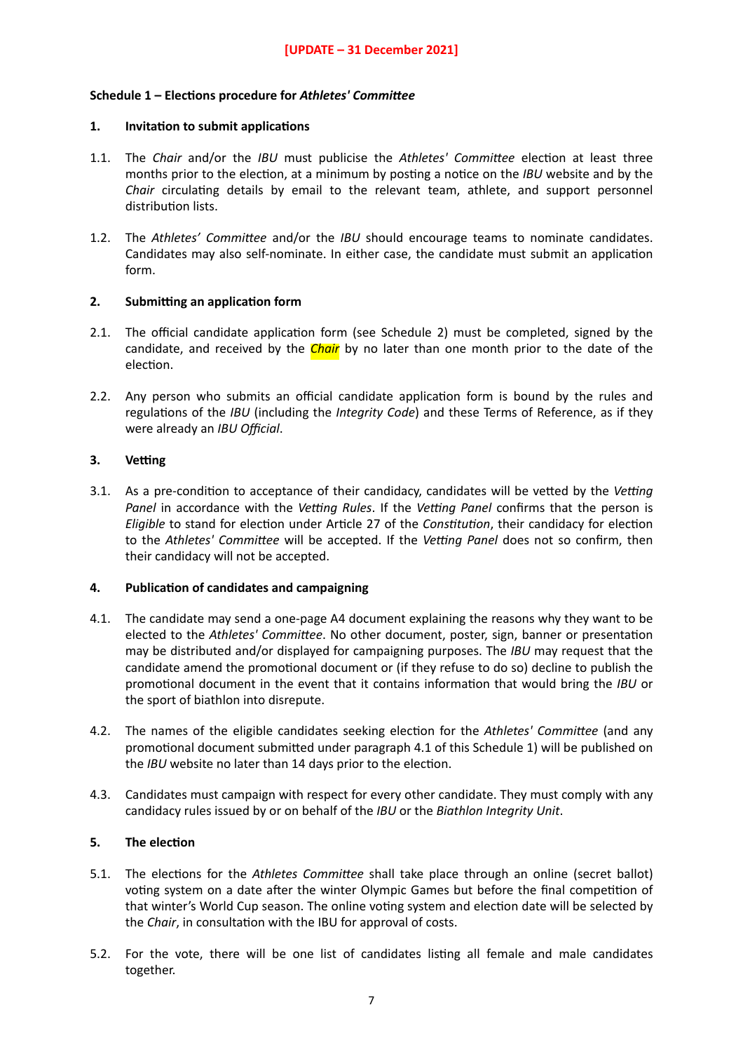## Schedule 1 – Elections procedure for *Athletes' Committee*

#### **1. Invitation to submit applications**

- 1.1. The *Chair* and/or the *IBU* must publicise the *Athletes' Committee* election at least three months prior to the election, at a minimum by posting a notice on the *IBU* website and by the *Chair* circulating details by email to the relevant team, athlete, and support personnel distribution lists.
- 1.2. The Athletes' Committee and/or the *IBU* should encourage teams to nominate candidates. Candidates may also self-nominate. In either case, the candidate must submit an application form.

#### **2.** Submitting an application form

- 2.1. The official candidate application form (see Schedule 2) must be completed, signed by the candidate, and received by the *Chair* by no later than one month prior to the date of the election.
- 2.2. Any person who submits an official candidate application form is bound by the rules and regulations of the *IBU* (including the *Integrity Code*) and these Terms of Reference, as if they were already an *IBU Official*.

## **3. Vetting**

3.1. As a pre-condition to acceptance of their candidacy, candidates will be vetted by the *Vetting Panel* in accordance with the *Vetting Rules*. If the *Vetting Panel* confirms that the person is *Eligible* to stand for election under Article 27 of the *Constitution*, their candidacy for election to the *Athletes' Committee* will be accepted. If the *Vetting Panel* does not so confirm, then their candidacy will not be accepted.

#### **4.** Publication of candidates and campaigning

- 4.1. The candidate may send a one-page A4 document explaining the reasons why they want to be elected to the *Athletes' Committee*. No other document, poster, sign, banner or presentation may be distributed and/or displayed for campaigning purposes. The *IBU* may request that the candidate amend the promotional document or (if they refuse to do so) decline to publish the promotional document in the event that it contains information that would bring the *IBU* or the sport of biathlon into disrepute.
- 4.2. The names of the eligible candidates seeking election for the *Athletes' Committee* (and any promotional document submitted under paragraph 4.1 of this Schedule 1) will be published on the *IBU* website no later than 14 days prior to the election.
- 4.3. Candidates must campaign with respect for every other candidate. They must comply with any candidacy rules issued by or on behalf of the *IBU* or the *Biathlon Integrity Unit*.

#### **5.** The election

- 5.1. The elections for the *Athletes Committee* shall take place through an online (secret ballot) voting system on a date after the winter Olympic Games but before the final competition of that winter's World Cup season. The online voting system and election date will be selected by the *Chair*, in consultation with the IBU for approval of costs.
- 5.2. For the vote, there will be one list of candidates listing all female and male candidates together.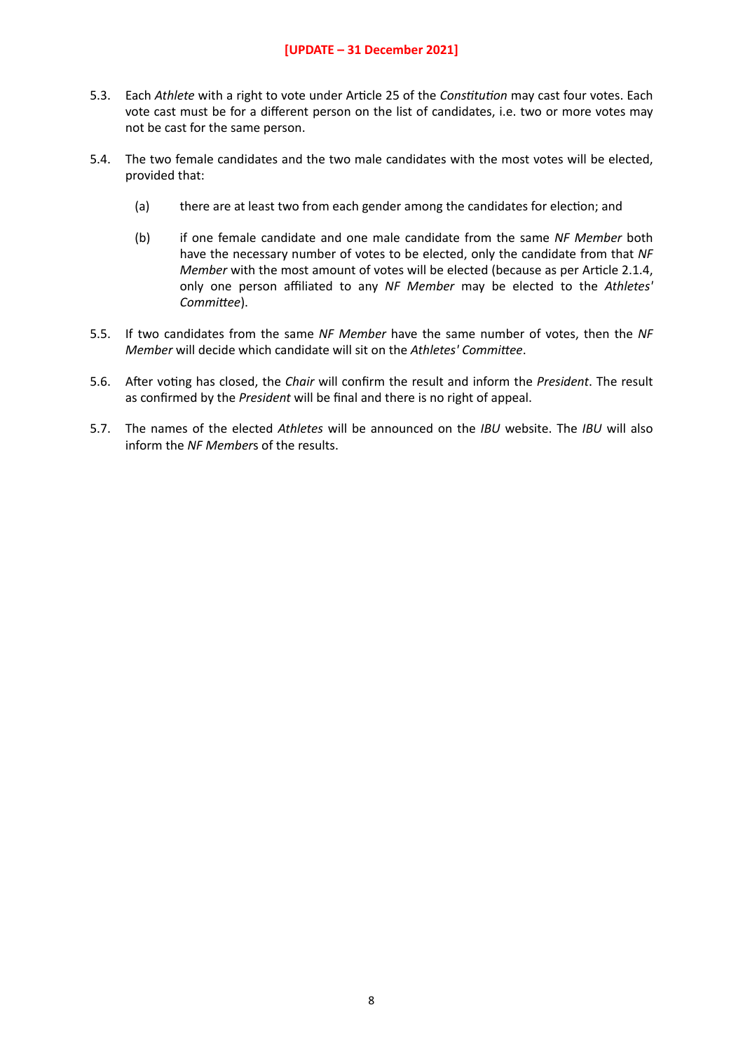#### **[UPDATE – 31 December 2021]**

- 5.3. Each *Athlete* with a right to vote under Article 25 of the *Constitution* may cast four votes. Each vote cast must be for a different person on the list of candidates, i.e. two or more votes may not be cast for the same person.
- 5.4. The two female candidates and the two male candidates with the most votes will be elected, provided that:
	- (a) there are at least two from each gender among the candidates for election; and
	- (b) if one female candidate and one male candidate from the same *NF Member* both have the necessary number of votes to be elected, only the candidate from that *NF Member* with the most amount of votes will be elected (because as per Article 2.1.4, only one person affiliated to any *NF Member* may be elected to the *Athletes'*  Committee).
- 5.5. If two candidates from the same *NF Member* have the same number of votes, then the *NF Member* will decide which candidate will sit on the *Athletes' Committee*.
- 5.6. After voting has closed, the *Chair* will confirm the result and inform the *President*. The result as confirmed by the *President* will be final and there is no right of appeal.
- 5.7. The names of the elected *Athletes* will be announced on the *IBU* website. The *IBU* will also inform the *NF Member*s of the results.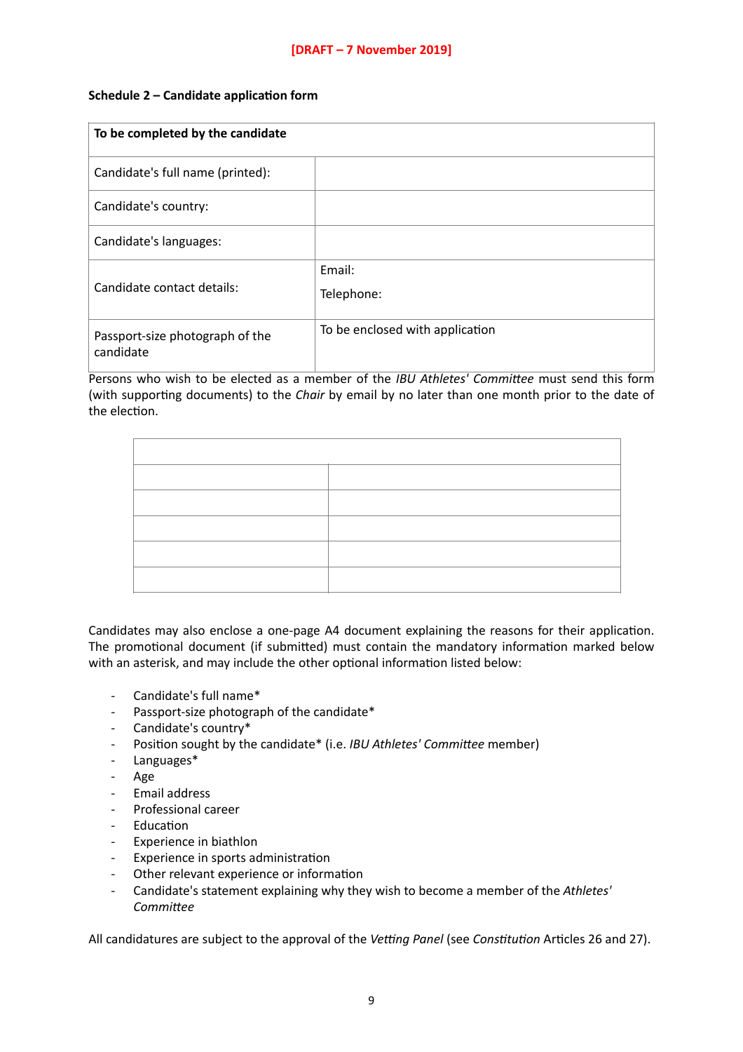### **Schedule 2 – Candidate application form**

| To be completed by the candidate             |                                 |
|----------------------------------------------|---------------------------------|
| Candidate's full name (printed):             |                                 |
| Candidate's country:                         |                                 |
| Candidate's languages:                       |                                 |
| Candidate contact details:                   | Email:<br>Telephone:            |
| Passport-size photograph of the<br>candidate | To be enclosed with application |

Persons who wish to be elected as a member of the *IBU Athletes' Committee* must send this form (with supporting documents) to the *Chair* by email by no later than one month prior to the date of the election.

Candidates may also enclose a one-page A4 document explaining the reasons for their application. The promotional document (if submitted) must contain the mandatory information marked below with an asterisk, and may include the other optional information listed below:

- Candidate's full name\*
- Passport-size photograph of the candidate\*
- Candidate's country\*
- Position sought by the candidate\* (i.e. *IBU Athletes' Committee* member)
- Languages\*
- Age
- Email address
- Professional career
- **Education**
- Experience in biathlon
- Experience in sports administration
- Other relevant experience or information
- Candidate's statement explaining why they wish to become a member of the *Athletes'*  Committee

All candidatures are subject to the approval of the *Vetting Panel* (see *Constitution* Articles 26 and 27).